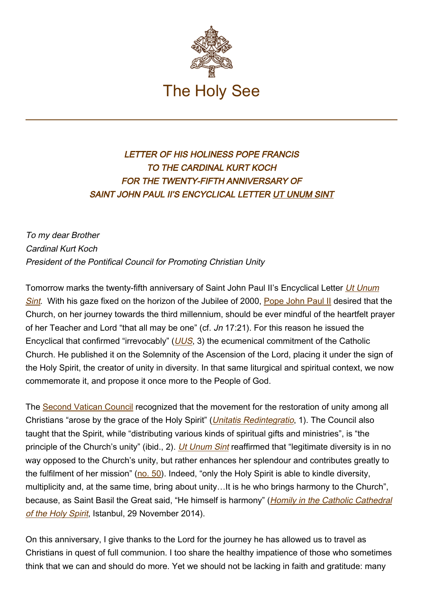

## LETTER OF HIS HOLINESS POPE FRANCIS TO THE CARDINAL KURT KOCH FOR THE TWENTY-FIFTH ANNIVERSARY OF SAINT JOHN PAUL II'S ENCYCLICAL LETTER UT UNUM SINT

To my dear Brother Cardinal Kurt Koch President of the Pontifical Council for Promoting Christian Unity

Tomorrow marks the twenty-fifth anniversary of Saint John Paul II's Encyclical Letter *[Ut Unum](http://www.vatican.va/content/john-paul-ii/en/encyclicals/documents/hf_jp-ii_enc_25051995_ut-unum-sint.html)* [Sint](http://www.vatican.va/content/john-paul-ii/en/encyclicals/documents/hf_jp-ii_enc_25051995_ut-unum-sint.html). With his gaze fixed on the horizon of the Jubilee of 2000, [Pope John Paul II](http://www.vatican.va/content/john-paul-ii/en.html) desired that the Church, on her journey towards the third millennium, should be ever mindful of the heartfelt prayer of her Teacher and Lord "that all may be one" (cf. Jn 17:21). For this reason he issued the Encyclical that confirmed "irrevocably" ( $UUS$ , 3) the ecumenical commitment of the Catholic Church. He published it on the Solemnity of the Ascension of the Lord, placing it under the sign of the Holy Spirit, the creator of unity in diversity. In that same liturgical and spiritual context, we now commemorate it, and propose it once more to the People of God.

The [Second Vatican Council](http://www.vatican.va/archive/hist_councils/ii_vatican_council/index.htm) recognized that the movement for the restoration of unity among all Christians "arose by the grace of the Holy Spirit" ([Unitatis Redintegratio](http://www.vatican.va/archive/hist_councils/ii_vatican_council/documents/vat-ii_decree_19641121_unitatis-redintegratio_en.html), 1). The Council also taught that the Spirit, while "distributing various kinds of spiritual gifts and ministries", is "the principle of the Church's unity" (ibid., 2). *[Ut Unum Sint](http://www.vatican.va/content/john-paul-ii/en/encyclicals/documents/hf_jp-ii_enc_25051995_ut-unum-sint.html)* reaffirmed that "legitimate diversity is in no way opposed to the Church's unity, but rather enhances her splendour and contributes greatly to the fulfilment of her mission" [\(no. 50\)](http://www.vatican.va/content/john-paul-ii/en/encyclicals/documents/hf_jp-ii_enc_25051995_ut-unum-sint.html#50). Indeed, "only the Holy Spirit is able to kindle diversity, multiplicity and, at the same time, bring about unity…It is he who brings harmony to the Church", because, as Saint Basil the Great said, "He himself is harmony" (*[Homily in the Catholic Cathedral](http://www.vatican.va/content/francesco/en/homilies/2014/documents/papa-francesco_20141129_omelia-turchia.html)* [of the Holy Spirit](http://www.vatican.va/content/francesco/en/homilies/2014/documents/papa-francesco_20141129_omelia-turchia.html), Istanbul, 29 November 2014).

On this anniversary, I give thanks to the Lord for the journey he has allowed us to travel as Christians in quest of full communion. I too share the healthy impatience of those who sometimes think that we can and should do more. Yet we should not be lacking in faith and gratitude: many